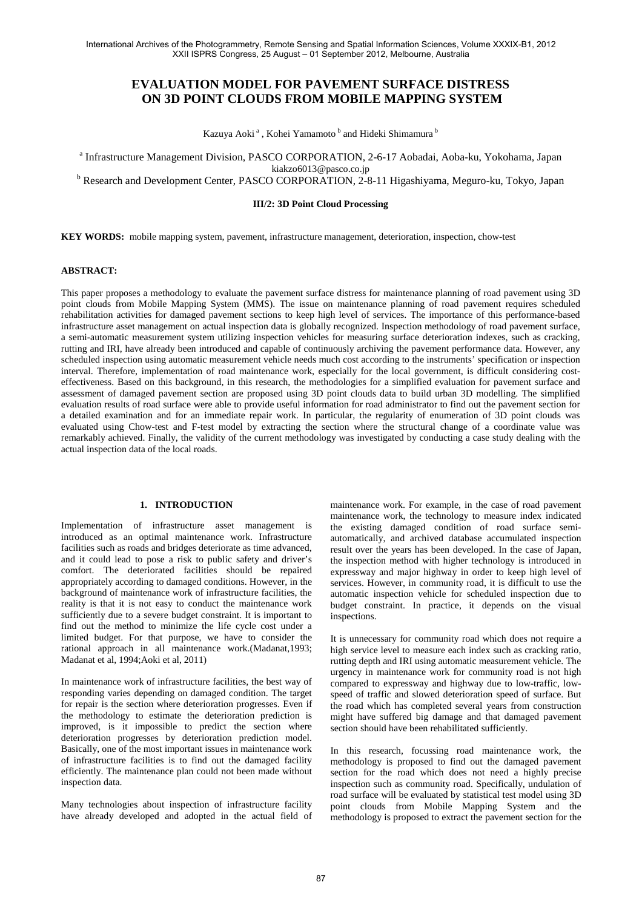# **EVALUATION MODEL FOR PAVEMENT SURFACE DISTRESS ON 3D POINT CLOUDS FROM MOBILE MAPPING SYSTEM**

Kazuya Aoki<sup>a</sup>, Kohei Yamamoto<sup>b</sup> and Hideki Shimamura<sup>b</sup>

<sup>a</sup> Infrastructure Management Division, PASCO CORPORATION, 2-6-17 Aobadai, Aoba-ku, Yokohama, Japan kiakzo6013@pasco.co.jp

<sup>b</sup> Research and Development Center, PASCO CORPORATION, 2-8-11 Higashiyama, Meguro-ku, Tokyo, Japan

## **III/2: 3D Point Cloud Processing**

**KEY WORDS:** mobile mapping system, pavement, infrastructure management, deterioration, inspection, chow-test

# **ABSTRACT:**

This paper proposes a methodology to evaluate the pavement surface distress for maintenance planning of road pavement using 3D point clouds from Mobile Mapping System (MMS). The issue on maintenance planning of road pavement requires scheduled rehabilitation activities for damaged pavement sections to keep high level of services. The importance of this performance-based infrastructure asset management on actual inspection data is globally recognized. Inspection methodology of road pavement surface, a semi-automatic measurement system utilizing inspection vehicles for measuring surface deterioration indexes, such as cracking, rutting and IRI, have already been introduced and capable of continuously archiving the pavement performance data. However, any scheduled inspection using automatic measurement vehicle needs much cost according to the instruments' specification or inspection interval. Therefore, implementation of road maintenance work, especially for the local government, is difficult considering costeffectiveness. Based on this background, in this research, the methodologies for a simplified evaluation for pavement surface and assessment of damaged pavement section are proposed using 3D point clouds data to build urban 3D modelling. The simplified evaluation results of road surface were able to provide useful information for road administrator to find out the pavement section for a detailed examination and for an immediate repair work. In particular, the regularity of enumeration of 3D point clouds was evaluated using Chow-test and F-test model by extracting the section where the structural change of a coordinate value was remarkably achieved. Finally, the validity of the current methodology was investigated by conducting a case study dealing with the actual inspection data of the local roads.

# **1. INTRODUCTION**

Implementation of infrastructure asset management is introduced as an optimal maintenance work. Infrastructure facilities such as roads and bridges deteriorate as time advanced, and it could lead to pose a risk to public safety and driver's comfort. The deteriorated facilities should be repaired appropriately according to damaged conditions. However, in the background of maintenance work of infrastructure facilities, the reality is that it is not easy to conduct the maintenance work sufficiently due to a severe budget constraint. It is important to find out the method to minimize the life cycle cost under a limited budget. For that purpose, we have to consider the rational approach in all maintenance work.(Madanat,1993; Madanat et al, 1994;Aoki et al, 2011)

In maintenance work of infrastructure facilities, the best way of responding varies depending on damaged condition. The target for repair is the section where deterioration progresses. Even if the methodology to estimate the deterioration prediction is improved, is it impossible to predict the section where deterioration progresses by deterioration prediction model. Basically, one of the most important issues in maintenance work of infrastructure facilities is to find out the damaged facility efficiently. The maintenance plan could not been made without inspection data.

Many technologies about inspection of infrastructure facility have already developed and adopted in the actual field of maintenance work. For example, in the case of road pavement maintenance work, the technology to measure index indicated the existing damaged condition of road surface semiautomatically, and archived database accumulated inspection result over the years has been developed. In the case of Japan, the inspection method with higher technology is introduced in expressway and major highway in order to keep high level of services. However, in community road, it is difficult to use the automatic inspection vehicle for scheduled inspection due to budget constraint. In practice, it depends on the visual inspections.

It is unnecessary for community road which does not require a high service level to measure each index such as cracking ratio, rutting depth and IRI using automatic measurement vehicle. The urgency in maintenance work for community road is not high compared to expressway and highway due to low-traffic, lowspeed of traffic and slowed deterioration speed of surface. But the road which has completed several years from construction might have suffered big damage and that damaged pavement section should have been rehabilitated sufficiently.

In this research, focussing road maintenance work, the methodology is proposed to find out the damaged pavement section for the road which does not need a highly precise inspection such as community road. Specifically, undulation of road surface will be evaluated by statistical test model using 3D point clouds from Mobile Mapping System and the methodology is proposed to extract the pavement section for the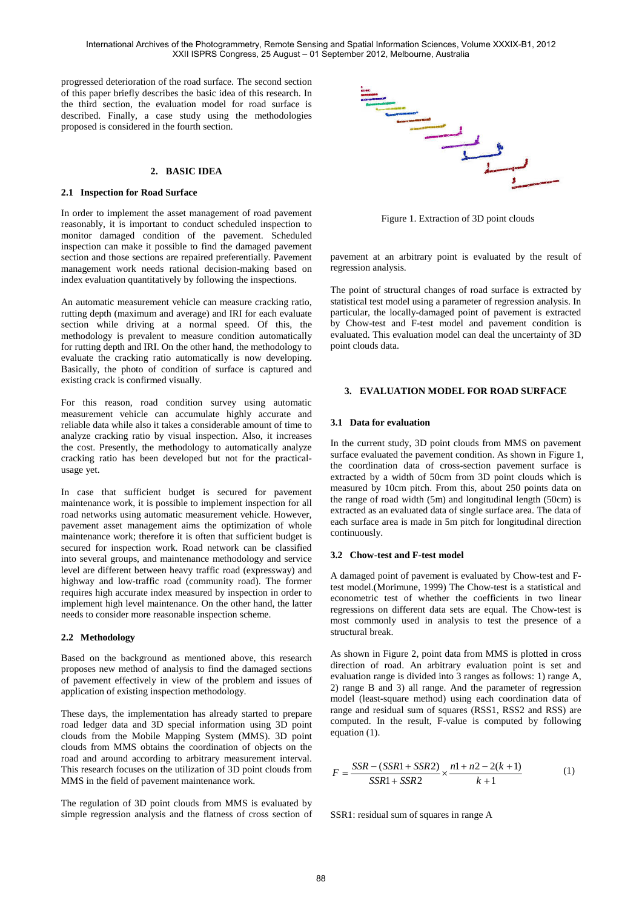progressed deterioration of the road surface. The second section of this paper briefly describes the basic idea of this research. In the third section, the evaluation model for road surface is described. Finally, a case study using the methodologies proposed is considered in the fourth section.

# **2. BASIC IDEA**

#### **2.1 Inspection for Road Surface**

In order to implement the asset management of road pavement reasonably, it is important to conduct scheduled inspection to monitor damaged condition of the pavement. Scheduled inspection can make it possible to find the damaged pavement section and those sections are repaired preferentially. Pavement management work needs rational decision-making based on index evaluation quantitatively by following the inspections.

An automatic measurement vehicle can measure cracking ratio, rutting depth (maximum and average) and IRI for each evaluate section while driving at a normal speed. Of this, the methodology is prevalent to measure condition automatically for rutting depth and IRI. On the other hand, the methodology to evaluate the cracking ratio automatically is now developing. Basically, the photo of condition of surface is captured and existing crack is confirmed visually.

For this reason, road condition survey using automatic measurement vehicle can accumulate highly accurate and reliable data while also it takes a considerable amount of time to analyze cracking ratio by visual inspection. Also, it increases the cost. Presently, the methodology to automatically analyze cracking ratio has been developed but not for the practicalusage yet.

In case that sufficient budget is secured for pavement maintenance work, it is possible to implement inspection for all road networks using automatic measurement vehicle. However, pavement asset management aims the optimization of whole maintenance work; therefore it is often that sufficient budget is secured for inspection work. Road network can be classified into several groups, and maintenance methodology and service level are different between heavy traffic road (expressway) and highway and low-traffic road (community road). The former requires high accurate index measured by inspection in order to implement high level maintenance. On the other hand, the latter needs to consider more reasonable inspection scheme.

#### **2.2 Methodology**

Based on the background as mentioned above, this research proposes new method of analysis to find the damaged sections of pavement effectively in view of the problem and issues of application of existing inspection methodology.

These days, the implementation has already started to prepare road ledger data and 3D special information using 3D point clouds from the Mobile Mapping System (MMS). 3D point clouds from MMS obtains the coordination of objects on the road and around according to arbitrary measurement interval. This research focuses on the utilization of 3D point clouds from MMS in the field of pavement maintenance work.

The regulation of 3D point clouds from MMS is evaluated by simple regression analysis and the flatness of cross section of



Figure 1. Extraction of 3D point clouds

pavement at an arbitrary point is evaluated by the result of regression analysis.

The point of structural changes of road surface is extracted by statistical test model using a parameter of regression analysis. In particular, the locally-damaged point of pavement is extracted by Chow-test and F-test model and pavement condition is evaluated. This evaluation model can deal the uncertainty of 3D point clouds data.

# **3. EVALUATION MODEL FOR ROAD SURFACE**

#### **3.1 Data for evaluation**

In the current study, 3D point clouds from MMS on pavement surface evaluated the pavement condition. As shown in Figure 1, the coordination data of cross-section pavement surface is extracted by a width of 50cm from 3D point clouds which is measured by 10cm pitch. From this, about 250 points data on the range of road width (5m) and longitudinal length (50cm) is extracted as an evaluated data of single surface area. The data of each surface area is made in 5m pitch for longitudinal direction continuously.

#### **3.2 Chow-test and F-test model**

A damaged point of pavement is evaluated by Chow-test and Ftest model.(Morimune, 1999) The Chow-test is a statistical and econometric test of whether the coefficients in two linear regressions on different data sets are equal. The Chow-test is most commonly used in analysis to test the presence of a structural break.

As shown in Figure 2, point data from MMS is plotted in cross direction of road. An arbitrary evaluation point is set and evaluation range is divided into 3 ranges as follows: 1) range A, 2) range B and 3) all range. And the parameter of regression model (least-square method) using each coordination data of range and residual sum of squares (RSS1, RSS2 and RSS) are computed. In the result, F-value is computed by following equation (1).

$$
F = \frac{SSR - (SSR1 + SSR2)}{SSR1 + SSR2} \times \frac{n1 + n2 - 2(k+1)}{k+1}
$$
 (1)

SSR1: residual sum of squares in range A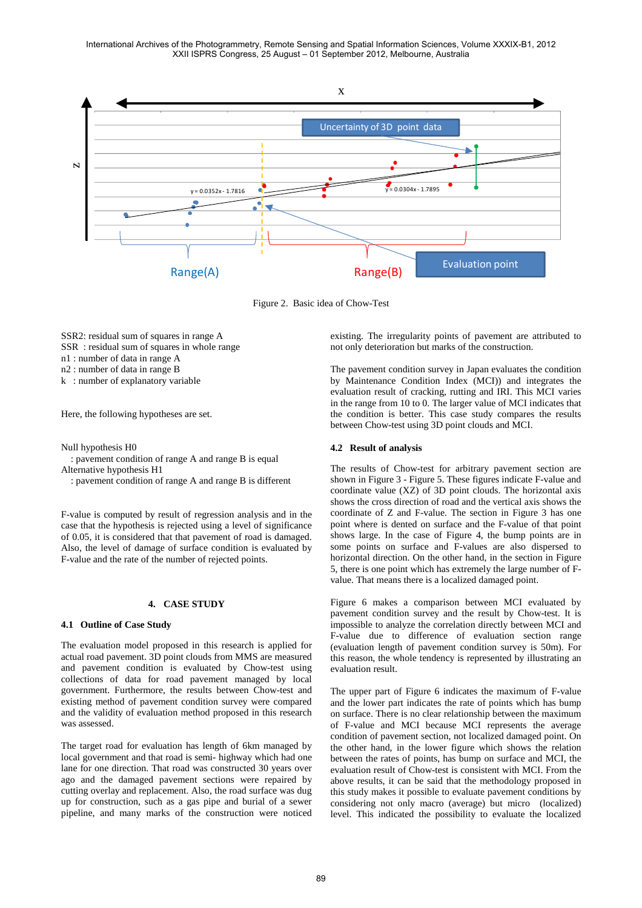

Figure 2. Basic idea of Chow-Test

SSR2: residual sum of squares in range A SSR : residual sum of squares in whole range n1 : number of data in range A n2 : number of data in range B

k : number of explanatory variable

Here, the following hypotheses are set.

Null hypothesis H0

: pavement condition of range A and range B is equal

Alternative hypothesis H1

: pavement condition of range A and range B is different

F-value is computed by result of regression analysis and in the case that the hypothesis is rejected using a level of significance of 0.05, it is considered that that pavement of road is damaged. Also, the level of damage of surface condition is evaluated by F-value and the rate of the number of rejected points.

# **4. CASE STUDY**

#### **4.1 Outline of Case Study**

The evaluation model proposed in this research is applied for actual road pavement. 3D point clouds from MMS are measured and pavement condition is evaluated by Chow-test using collections of data for road pavement managed by local government. Furthermore, the results between Chow-test and existing method of pavement condition survey were compared and the validity of evaluation method proposed in this research was assessed.

The target road for evaluation has length of 6km managed by local government and that road is semi- highway which had one lane for one direction. That road was constructed 30 years over ago and the damaged pavement sections were repaired by cutting overlay and replacement. Also, the road surface was dug up for construction, such as a gas pipe and burial of a sewer pipeline, and many marks of the construction were noticed existing. The irregularity points of pavement are attributed to not only deterioration but marks of the construction.

The pavement condition survey in Japan evaluates the condition by Maintenance Condition Index (MCI)) and integrates the evaluation result of cracking, rutting and IRI. This MCI varies in the range from 10 to 0. The larger value of MCI indicates that the condition is better. This case study compares the results between Chow-test using 3D point clouds and MCI.

## **4.2 Result of analysis**

The results of Chow-test for arbitrary pavement section are shown in Figure 3 - Figure 5. These figures indicate F-value and coordinate value (XZ) of 3D point clouds. The horizontal axis shows the cross direction of road and the vertical axis shows the coordinate of Z and F-value. The section in Figure 3 has one point where is dented on surface and the F-value of that point shows large. In the case of Figure 4, the bump points are in some points on surface and F-values are also dispersed to horizontal direction. On the other hand, in the section in Figure 5, there is one point which has extremely the large number of Fvalue. That means there is a localized damaged point.

Figure 6 makes a comparison between MCI evaluated by pavement condition survey and the result by Chow-test. It is impossible to analyze the correlation directly between MCI and F-value due to difference of evaluation section range (evaluation length of pavement condition survey is 50m). For this reason, the whole tendency is represented by illustrating an evaluation result.

The upper part of Figure 6 indicates the maximum of F-value and the lower part indicates the rate of points which has bump on surface. There is no clear relationship between the maximum of F-value and MCI because MCI represents the average condition of pavement section, not localized damaged point. On the other hand, in the lower figure which shows the relation between the rates of points, has bump on surface and MCI, the evaluation result of Chow-test is consistent with MCI. From the above results, it can be said that the methodology proposed in this study makes it possible to evaluate pavement conditions by considering not only macro (average) but micro (localized) level. This indicated the possibility to evaluate the localized